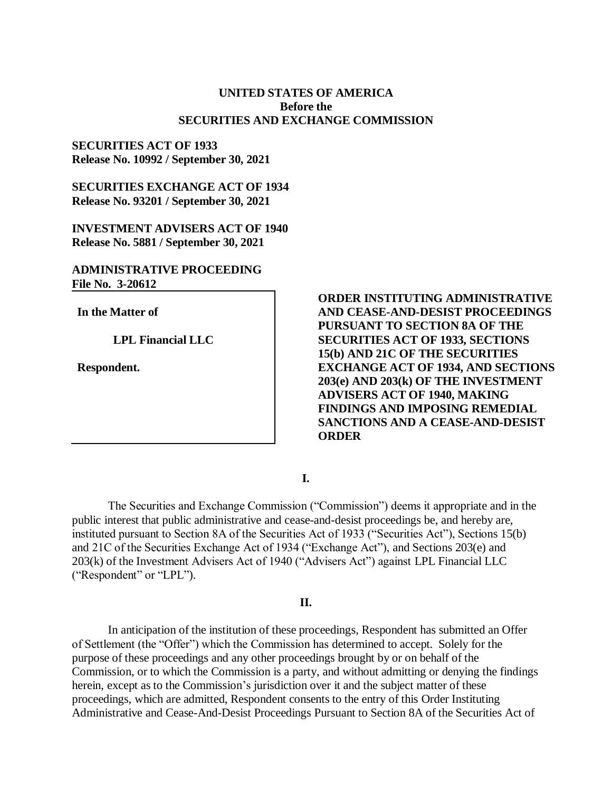## **UNITED STATES OF AMERICA Before the SECURITIES AND EXCHANGE COMMISSION**

### **SECURITIES ACT OF 1933 Release No. 10992 / September 30, 2021**

**SECURITIES EXCHANGE ACT OF 1934 Release No. 93201 / September 30, 2021**

**INVESTMENT ADVISERS ACT OF 1940 Release No. 5881 / September 30, 2021**

# **ADMINISTRATIVE PROCEEDING File No. 3-20612**

**In the Matter of**

**LPL Financial LLC**

**Respondent.**

**ORDER INSTITUTING ADMINISTRATIVE AND CEASE-AND-DESIST PROCEEDINGS PURSUANT TO SECTION 8A OF THE SECURITIES ACT OF 1933, SECTIONS 15(b) AND 21C OF THE SECURITIES EXCHANGE ACT OF 1934, AND SECTIONS 203(e) AND 203(k) OF THE INVESTMENT ADVISERS ACT OF 1940, MAKING FINDINGS AND IMPOSING REMEDIAL SANCTIONS AND A CEASE-AND-DESIST ORDER** 

**I.**

The Securities and Exchange Commission ("Commission") deems it appropriate and in the public interest that public administrative and cease-and-desist proceedings be, and hereby are, instituted pursuant to Section 8A of the Securities Act of 1933 ("Securities Act"), Sections 15(b) and 21C of the Securities Exchange Act of 1934 ("Exchange Act"), and Sections 203(e) and 203(k) of the Investment Advisers Act of 1940 ("Advisers Act") against LPL Financial LLC ("Respondent" or "LPL").

### **II.**

In anticipation of the institution of these proceedings, Respondent has submitted an Offer of Settlement (the "Offer") which the Commission has determined to accept. Solely for the purpose of these proceedings and any other proceedings brought by or on behalf of the Commission, or to which the Commission is a party, and without admitting or denying the findings herein, except as to the Commission's jurisdiction over it and the subject matter of these proceedings, which are admitted, Respondent consents to the entry of this Order Instituting Administrative and Cease-And-Desist Proceedings Pursuant to Section 8A of the Securities Act of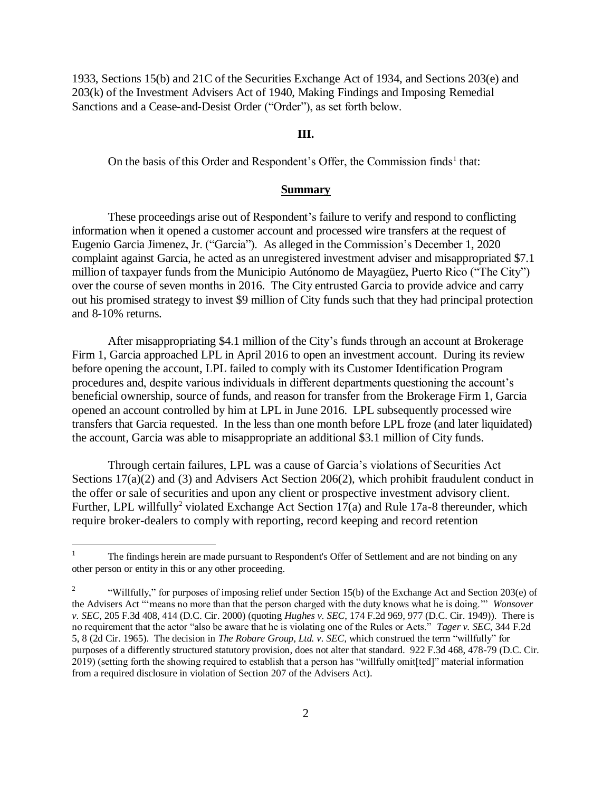1933, Sections 15(b) and 21C of the Securities Exchange Act of 1934, and Sections 203(e) and 203(k) of the Investment Advisers Act of 1940, Making Findings and Imposing Remedial Sanctions and a Cease-and-Desist Order ("Order"), as set forth below.

#### **III.**

On the basis of this Order and Respondent's Offer, the Commission finds<sup>1</sup> that:

#### **Summary**

These proceedings arise out of Respondent's failure to verify and respond to conflicting information when it opened a customer account and processed wire transfers at the request of Eugenio Garcia Jimenez, Jr. ("Garcia"). As alleged in the Commission's December 1, 2020 complaint against Garcia, he acted as an unregistered investment adviser and misappropriated \$7.1 million of taxpayer funds from the Municipio Autónomo de Mayagüez, Puerto Rico ("The City") over the course of seven months in 2016. The City entrusted Garcia to provide advice and carry out his promised strategy to invest \$9 million of City funds such that they had principal protection and 8-10% returns.

After misappropriating \$4.1 million of the City's funds through an account at Brokerage Firm 1, Garcia approached LPL in April 2016 to open an investment account. During its review before opening the account, LPL failed to comply with its Customer Identification Program procedures and, despite various individuals in different departments questioning the account's beneficial ownership, source of funds, and reason for transfer from the Brokerage Firm 1, Garcia opened an account controlled by him at LPL in June 2016. LPL subsequently processed wire transfers that Garcia requested. In the less than one month before LPL froze (and later liquidated) the account, Garcia was able to misappropriate an additional \$3.1 million of City funds.

Through certain failures, LPL was a cause of Garcia's violations of Securities Act Sections 17(a)(2) and (3) and Advisers Act Section 206(2), which prohibit fraudulent conduct in the offer or sale of securities and upon any client or prospective investment advisory client. Further, LPL willfully<sup>2</sup> violated Exchange Act Section  $17(a)$  and Rule 17a-8 thereunder, which require broker-dealers to comply with reporting, record keeping and record retention

 $\overline{a}$ 

<sup>&</sup>lt;sup>1</sup> The findings herein are made pursuant to Respondent's Offer of Settlement and are not binding on any other person or entity in this or any other proceeding.

<sup>2</sup> "Willfully," for purposes of imposing relief under Section 15(b) of the Exchange Act and Section 203(e) of the Advisers Act "'means no more than that the person charged with the duty knows what he is doing.'" *Wonsover v. SEC*, 205 F.3d 408, 414 (D.C. Cir. 2000) (quoting *Hughes v. SEC*, 174 F.2d 969, 977 (D.C. Cir. 1949)). There is no requirement that the actor "also be aware that he is violating one of the Rules or Acts." *Tager v. SEC*, 344 F.2d 5, 8 (2d Cir. 1965). The decision in *The Robare Group, Ltd. v. SEC*, which construed the term "willfully" for purposes of a differently structured statutory provision, does not alter that standard. 922 F.3d 468, 478-79 (D.C. Cir. 2019) (setting forth the showing required to establish that a person has "willfully omit[ted]" material information from a required disclosure in violation of Section 207 of the Advisers Act).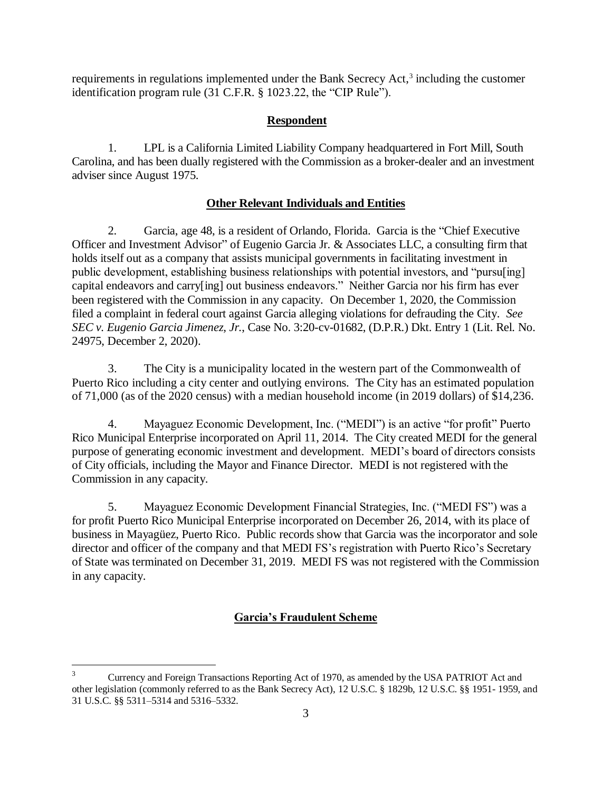requirements in regulations implemented under the Bank Secrecy Act,<sup>3</sup> including the customer identification program rule (31 C.F.R. § 1023.22, the "CIP Rule").

# **Respondent**

1. LPL is a California Limited Liability Company headquartered in Fort Mill, South Carolina, and has been dually registered with the Commission as a broker-dealer and an investment adviser since August 1975.

# **Other Relevant Individuals and Entities**

2. Garcia, age 48, is a resident of Orlando, Florida. Garcia is the "Chief Executive Officer and Investment Advisor" of Eugenio Garcia Jr. & Associates LLC, a consulting firm that holds itself out as a company that assists municipal governments in facilitating investment in public development, establishing business relationships with potential investors, and "pursu[ing] capital endeavors and carry[ing] out business endeavors." Neither Garcia nor his firm has ever been registered with the Commission in any capacity. On December 1, 2020, the Commission filed a complaint in federal court against Garcia alleging violations for defrauding the City. *See SEC v. Eugenio Garcia Jimenez, Jr.*, Case No. 3:20-cv-01682, (D.P.R.) Dkt. Entry 1 (Lit. Rel. No. 24975, December 2, 2020).

3. The City is a municipality located in the western part of the Commonwealth of Puerto Rico including a city center and outlying environs. The City has an estimated population of 71,000 (as of the 2020 census) with a median household income (in 2019 dollars) of \$14,236.

4. Mayaguez Economic Development, Inc. ("MEDI") is an active "for profit" Puerto Rico Municipal Enterprise incorporated on April 11, 2014. The City created MEDI for the general purpose of generating economic investment and development. MEDI's board of directors consists of City officials, including the Mayor and Finance Director. MEDI is not registered with the Commission in any capacity.

5. Mayaguez Economic Development Financial Strategies, Inc. ("MEDI FS") was a for profit Puerto Rico Municipal Enterprise incorporated on December 26, 2014, with its place of business in Mayagüez, Puerto Rico. Public records show that Garcia was the incorporator and sole director and officer of the company and that MEDI FS's registration with Puerto Rico's Secretary of State was terminated on December 31, 2019. MEDI FS was not registered with the Commission in any capacity.

# **Garcia's Fraudulent Scheme**

 $\overline{a}$ 

<sup>3</sup> Currency and Foreign Transactions Reporting Act of 1970, as amended by the USA PATRIOT Act and other legislation (commonly referred to as the Bank Secrecy Act), 12 U.S.C. § 1829b, 12 U.S.C. §§ 1951- 1959, and 31 U.S.C. §§ 5311–5314 and 5316–5332.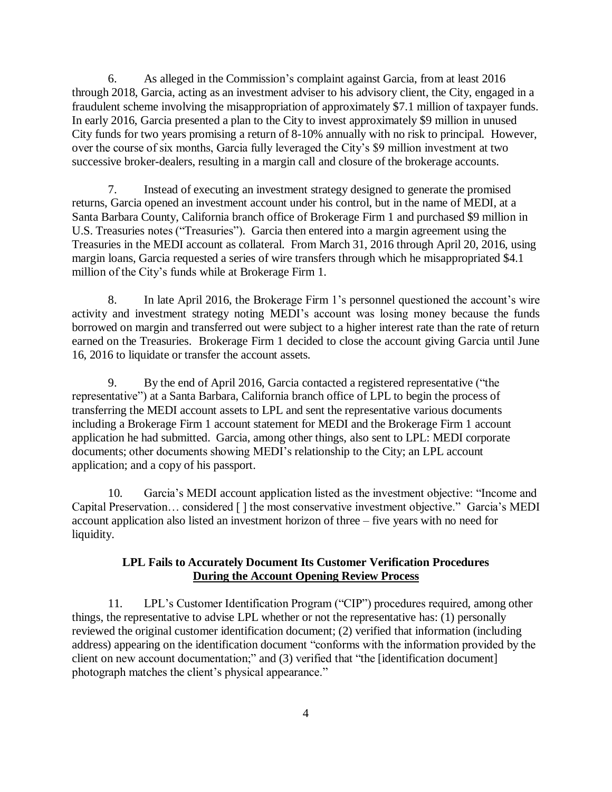6. As alleged in the Commission's complaint against Garcia, from at least 2016 through 2018, Garcia, acting as an investment adviser to his advisory client, the City, engaged in a fraudulent scheme involving the misappropriation of approximately \$7.1 million of taxpayer funds. In early 2016, Garcia presented a plan to the City to invest approximately \$9 million in unused City funds for two years promising a return of 8-10% annually with no risk to principal. However, over the course of six months, Garcia fully leveraged the City's \$9 million investment at two successive broker-dealers, resulting in a margin call and closure of the brokerage accounts.

7. Instead of executing an investment strategy designed to generate the promised returns, Garcia opened an investment account under his control, but in the name of MEDI, at a Santa Barbara County, California branch office of Brokerage Firm 1 and purchased \$9 million in U.S. Treasuries notes ("Treasuries"). Garcia then entered into a margin agreement using the Treasuries in the MEDI account as collateral. From March 31, 2016 through April 20, 2016, using margin loans, Garcia requested a series of wire transfers through which he misappropriated \$4.1 million of the City's funds while at Brokerage Firm 1.

8. In late April 2016, the Brokerage Firm 1's personnel questioned the account's wire activity and investment strategy noting MEDI's account was losing money because the funds borrowed on margin and transferred out were subject to a higher interest rate than the rate of return earned on the Treasuries. Brokerage Firm 1 decided to close the account giving Garcia until June 16, 2016 to liquidate or transfer the account assets.

9. By the end of April 2016, Garcia contacted a registered representative ("the representative") at a Santa Barbara, California branch office of LPL to begin the process of transferring the MEDI account assets to LPL and sent the representative various documents including a Brokerage Firm 1 account statement for MEDI and the Brokerage Firm 1 account application he had submitted. Garcia, among other things, also sent to LPL: MEDI corporate documents; other documents showing MEDI's relationship to the City; an LPL account application; and a copy of his passport.

10. Garcia's MEDI account application listed as the investment objective: "Income and Capital Preservation… considered [ ] the most conservative investment objective." Garcia's MEDI account application also listed an investment horizon of three – five years with no need for liquidity.

### **LPL Fails to Accurately Document Its Customer Verification Procedures During the Account Opening Review Process**

11. LPL's Customer Identification Program ("CIP") procedures required, among other things, the representative to advise LPL whether or not the representative has: (1) personally reviewed the original customer identification document; (2) verified that information (including address) appearing on the identification document "conforms with the information provided by the client on new account documentation;" and (3) verified that "the [identification document] photograph matches the client's physical appearance."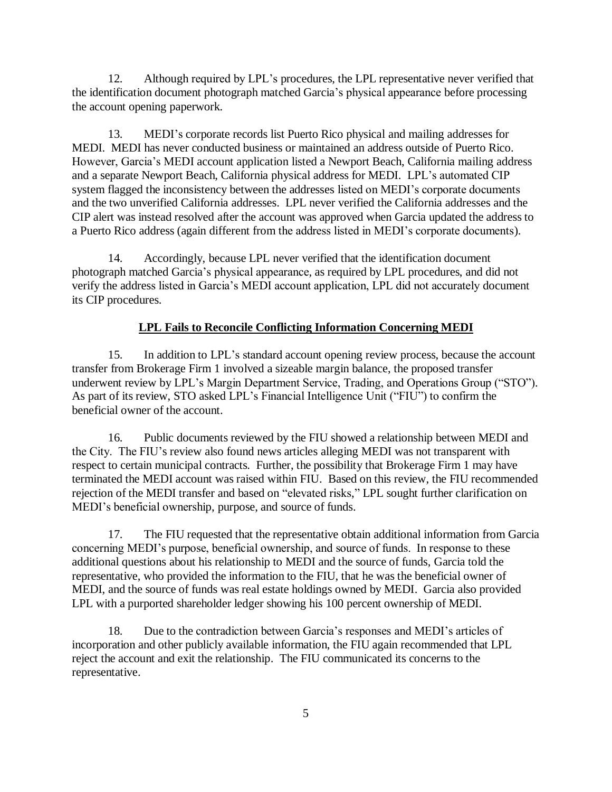12. Although required by LPL's procedures, the LPL representative never verified that the identification document photograph matched Garcia's physical appearance before processing the account opening paperwork.

13. MEDI's corporate records list Puerto Rico physical and mailing addresses for MEDI. MEDI has never conducted business or maintained an address outside of Puerto Rico. However, Garcia's MEDI account application listed a Newport Beach, California mailing address and a separate Newport Beach, California physical address for MEDI. LPL's automated CIP system flagged the inconsistency between the addresses listed on MEDI's corporate documents and the two unverified California addresses. LPL never verified the California addresses and the CIP alert was instead resolved after the account was approved when Garcia updated the address to a Puerto Rico address (again different from the address listed in MEDI's corporate documents).

14. Accordingly, because LPL never verified that the identification document photograph matched Garcia's physical appearance, as required by LPL procedures, and did not verify the address listed in Garcia's MEDI account application, LPL did not accurately document its CIP procedures.

# **LPL Fails to Reconcile Conflicting Information Concerning MEDI**

15. In addition to LPL's standard account opening review process, because the account transfer from Brokerage Firm 1 involved a sizeable margin balance, the proposed transfer underwent review by LPL's Margin Department Service, Trading, and Operations Group ("STO"). As part of its review, STO asked LPL's Financial Intelligence Unit ("FIU") to confirm the beneficial owner of the account.

16. Public documents reviewed by the FIU showed a relationship between MEDI and the City. The FIU's review also found news articles alleging MEDI was not transparent with respect to certain municipal contracts. Further, the possibility that Brokerage Firm 1 may have terminated the MEDI account was raised within FIU. Based on this review, the FIU recommended rejection of the MEDI transfer and based on "elevated risks," LPL sought further clarification on MEDI's beneficial ownership, purpose, and source of funds.

17. The FIU requested that the representative obtain additional information from Garcia concerning MEDI's purpose, beneficial ownership, and source of funds. In response to these additional questions about his relationship to MEDI and the source of funds, Garcia told the representative, who provided the information to the FIU, that he was the beneficial owner of MEDI, and the source of funds was real estate holdings owned by MEDI. Garcia also provided LPL with a purported shareholder ledger showing his 100 percent ownership of MEDI.

18. Due to the contradiction between Garcia's responses and MEDI's articles of incorporation and other publicly available information, the FIU again recommended that LPL reject the account and exit the relationship. The FIU communicated its concerns to the representative.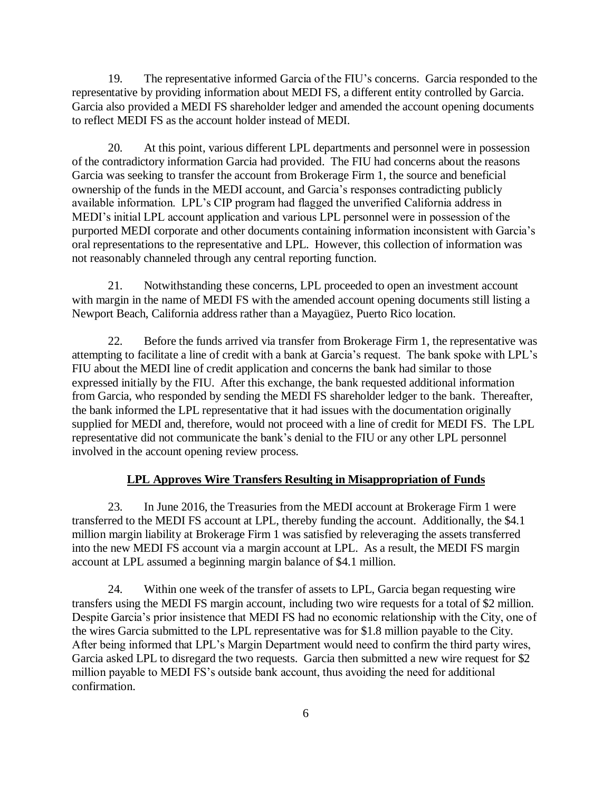19. The representative informed Garcia of the FIU's concerns. Garcia responded to the representative by providing information about MEDI FS, a different entity controlled by Garcia. Garcia also provided a MEDI FS shareholder ledger and amended the account opening documents to reflect MEDI FS as the account holder instead of MEDI.

20. At this point, various different LPL departments and personnel were in possession of the contradictory information Garcia had provided. The FIU had concerns about the reasons Garcia was seeking to transfer the account from Brokerage Firm 1, the source and beneficial ownership of the funds in the MEDI account, and Garcia's responses contradicting publicly available information. LPL's CIP program had flagged the unverified California address in MEDI's initial LPL account application and various LPL personnel were in possession of the purported MEDI corporate and other documents containing information inconsistent with Garcia's oral representations to the representative and LPL. However, this collection of information was not reasonably channeled through any central reporting function.

21. Notwithstanding these concerns, LPL proceeded to open an investment account with margin in the name of MEDI FS with the amended account opening documents still listing a Newport Beach, California address rather than a Mayagüez, Puerto Rico location.

22. Before the funds arrived via transfer from Brokerage Firm 1, the representative was attempting to facilitate a line of credit with a bank at Garcia's request. The bank spoke with LPL's FIU about the MEDI line of credit application and concerns the bank had similar to those expressed initially by the FIU. After this exchange, the bank requested additional information from Garcia, who responded by sending the MEDI FS shareholder ledger to the bank. Thereafter, the bank informed the LPL representative that it had issues with the documentation originally supplied for MEDI and, therefore, would not proceed with a line of credit for MEDI FS. The LPL representative did not communicate the bank's denial to the FIU or any other LPL personnel involved in the account opening review process.

# **LPL Approves Wire Transfers Resulting in Misappropriation of Funds**

23. In June 2016, the Treasuries from the MEDI account at Brokerage Firm 1 were transferred to the MEDI FS account at LPL, thereby funding the account. Additionally, the \$4.1 million margin liability at Brokerage Firm 1 was satisfied by releveraging the assets transferred into the new MEDI FS account via a margin account at LPL. As a result, the MEDI FS margin account at LPL assumed a beginning margin balance of \$4.1 million.

24. Within one week of the transfer of assets to LPL, Garcia began requesting wire transfers using the MEDI FS margin account, including two wire requests for a total of \$2 million. Despite Garcia's prior insistence that MEDI FS had no economic relationship with the City, one of the wires Garcia submitted to the LPL representative was for \$1.8 million payable to the City. After being informed that LPL's Margin Department would need to confirm the third party wires, Garcia asked LPL to disregard the two requests. Garcia then submitted a new wire request for \$2 million payable to MEDI FS's outside bank account, thus avoiding the need for additional confirmation.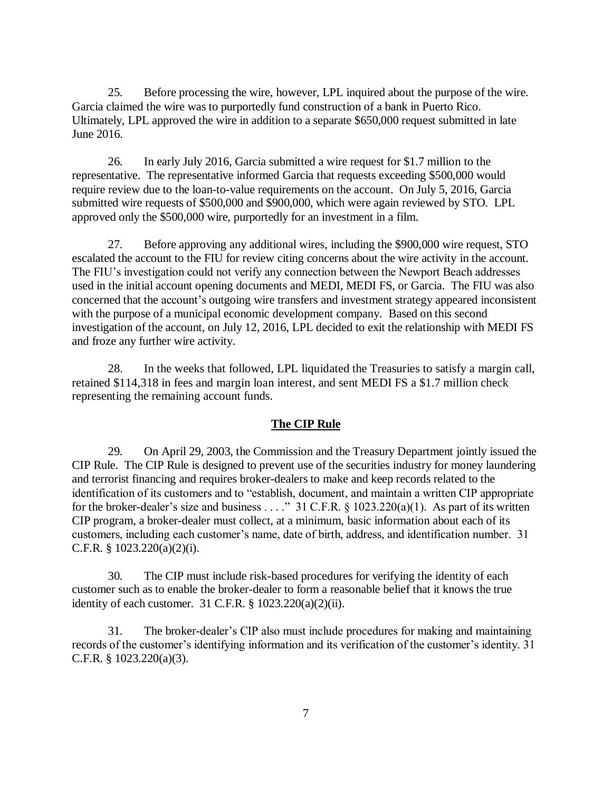25. Before processing the wire, however, LPL inquired about the purpose of the wire. Garcia claimed the wire was to purportedly fund construction of a bank in Puerto Rico. Ultimately, LPL approved the wire in addition to a separate \$650,000 request submitted in late June 2016.

26. In early July 2016, Garcia submitted a wire request for \$1.7 million to the representative. The representative informed Garcia that requests exceeding \$500,000 would require review due to the loan-to-value requirements on the account. On July 5, 2016, Garcia submitted wire requests of \$500,000 and \$900,000, which were again reviewed by STO. LPL approved only the \$500,000 wire, purportedly for an investment in a film.

27. Before approving any additional wires, including the \$900,000 wire request, STO escalated the account to the FIU for review citing concerns about the wire activity in the account. The FIU's investigation could not verify any connection between the Newport Beach addresses used in the initial account opening documents and MEDI, MEDI FS, or Garcia. The FIU was also concerned that the account's outgoing wire transfers and investment strategy appeared inconsistent with the purpose of a municipal economic development company. Based on this second investigation of the account, on July 12, 2016, LPL decided to exit the relationship with MEDI FS and froze any further wire activity.

28. In the weeks that followed, LPL liquidated the Treasuries to satisfy a margin call, retained \$114,318 in fees and margin loan interest, and sent MEDI FS a \$1.7 million check representing the remaining account funds.

# **The CIP Rule**

29. On April 29, 2003, the Commission and the Treasury Department jointly issued the CIP Rule. The CIP Rule is designed to prevent use of the securities industry for money laundering and terrorist financing and requires broker-dealers to make and keep records related to the identification of its customers and to "establish, document, and maintain a written CIP appropriate for the broker-dealer's size and business . . . ." 31 C.F.R.  $\S$  1023.220(a)(1). As part of its written CIP program, a broker-dealer must collect, at a minimum, basic information about each of its customers, including each customer's name, date of birth, address, and identification number. 31 C.F.R. § 1023.220(a)(2)(i).

30. The CIP must include risk-based procedures for verifying the identity of each customer such as to enable the broker-dealer to form a reasonable belief that it knows the true identity of each customer. 31 C.F.R. § 1023.220(a)(2)(ii).

31. The broker-dealer's CIP also must include procedures for making and maintaining records of the customer's identifying information and its verification of the customer's identity. 31 C.F.R. § 1023.220(a)(3).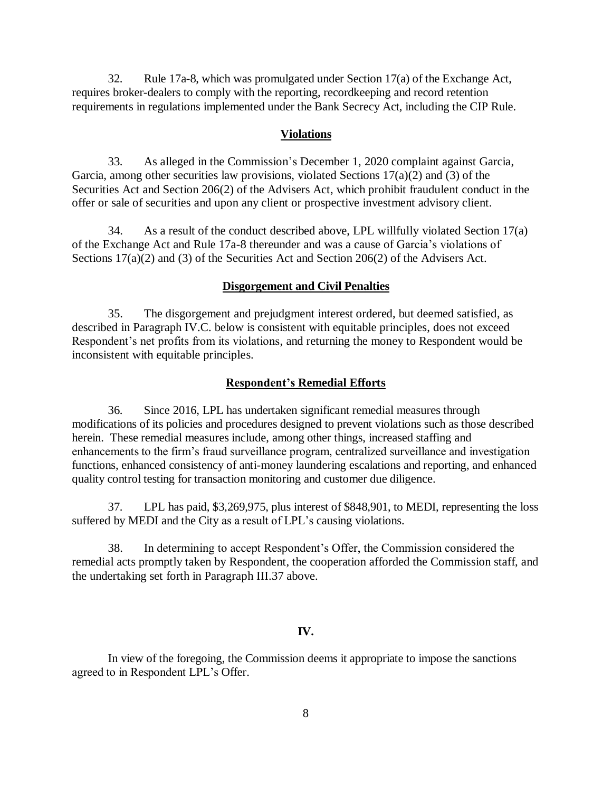32. Rule 17a-8, which was promulgated under Section 17(a) of the Exchange Act, requires broker-dealers to comply with the reporting, recordkeeping and record retention requirements in regulations implemented under the Bank Secrecy Act, including the CIP Rule.

#### **Violations**

33. As alleged in the Commission's December 1, 2020 complaint against Garcia, Garcia, among other securities law provisions, violated Sections  $17(a)(2)$  and (3) of the Securities Act and Section 206(2) of the Advisers Act, which prohibit fraudulent conduct in the offer or sale of securities and upon any client or prospective investment advisory client.

34. As a result of the conduct described above, LPL willfully violated Section 17(a) of the Exchange Act and Rule 17a-8 thereunder and was a cause of Garcia's violations of Sections 17(a)(2) and (3) of the Securities Act and Section 206(2) of the Advisers Act.

#### **Disgorgement and Civil Penalties**

35. The disgorgement and prejudgment interest ordered, but deemed satisfied, as described in Paragraph IV.C. below is consistent with equitable principles, does not exceed Respondent's net profits from its violations, and returning the money to Respondent would be inconsistent with equitable principles.

#### **Respondent's Remedial Efforts**

36. Since 2016, LPL has undertaken significant remedial measures through modifications of its policies and procedures designed to prevent violations such as those described herein. These remedial measures include, among other things, increased staffing and enhancements to the firm's fraud surveillance program, centralized surveillance and investigation functions, enhanced consistency of anti-money laundering escalations and reporting, and enhanced quality control testing for transaction monitoring and customer due diligence.

37. LPL has paid, \$3,269,975, plus interest of \$848,901, to MEDI, representing the loss suffered by MEDI and the City as a result of LPL's causing violations.

38. In determining to accept Respondent's Offer, the Commission considered the remedial acts promptly taken by Respondent, the cooperation afforded the Commission staff, and the undertaking set forth in Paragraph III.37 above.

#### **IV.**

In view of the foregoing, the Commission deems it appropriate to impose the sanctions agreed to in Respondent LPL's Offer.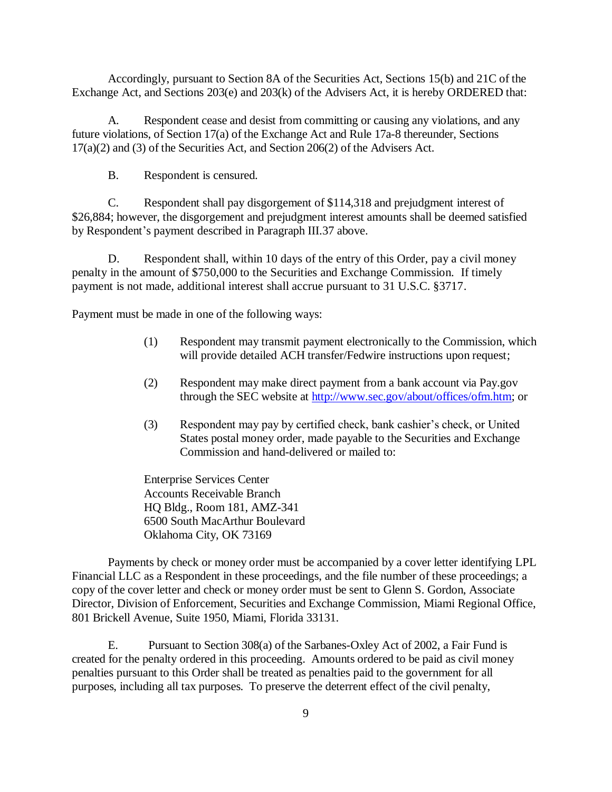Accordingly, pursuant to Section 8A of the Securities Act, Sections 15(b) and 21C of the Exchange Act, and Sections 203(e) and 203(k) of the Advisers Act, it is hereby ORDERED that:

A. Respondent cease and desist from committing or causing any violations, and any future violations, of Section 17(a) of the Exchange Act and Rule 17a-8 thereunder, Sections 17(a)(2) and (3) of the Securities Act, and Section 206(2) of the Advisers Act.

B. Respondent is censured.

C. Respondent shall pay disgorgement of \$114,318 and prejudgment interest of \$26,884; however, the disgorgement and prejudgment interest amounts shall be deemed satisfied by Respondent's payment described in Paragraph III.37 above.

D. Respondent shall, within 10 days of the entry of this Order, pay a civil money penalty in the amount of \$750,000 to the Securities and Exchange Commission. If timely payment is not made, additional interest shall accrue pursuant to 31 U.S.C. §3717.

Payment must be made in one of the following ways:

- (1) Respondent may transmit payment electronically to the Commission, which will provide detailed ACH transfer/Fedwire instructions upon request;
- (2) Respondent may make direct payment from a bank account via Pay.gov through the SEC website at [http://www.sec.gov/about/offices/ofm.htm;](http://www.sec.gov/about/offices/ofm.htm) or
- (3) Respondent may pay by certified check, bank cashier's check, or United States postal money order, made payable to the Securities and Exchange Commission and hand-delivered or mailed to:

Enterprise Services Center Accounts Receivable Branch HQ Bldg., Room 181, AMZ-341 6500 South MacArthur Boulevard Oklahoma City, OK 73169

Payments by check or money order must be accompanied by a cover letter identifying LPL Financial LLC as a Respondent in these proceedings, and the file number of these proceedings; a copy of the cover letter and check or money order must be sent to Glenn S. Gordon, Associate Director, Division of Enforcement, Securities and Exchange Commission, Miami Regional Office, 801 Brickell Avenue, Suite 1950, Miami, Florida 33131.

E. Pursuant to Section 308(a) of the Sarbanes-Oxley Act of 2002, a Fair Fund is created for the penalty ordered in this proceeding. Amounts ordered to be paid as civil money penalties pursuant to this Order shall be treated as penalties paid to the government for all purposes, including all tax purposes. To preserve the deterrent effect of the civil penalty,